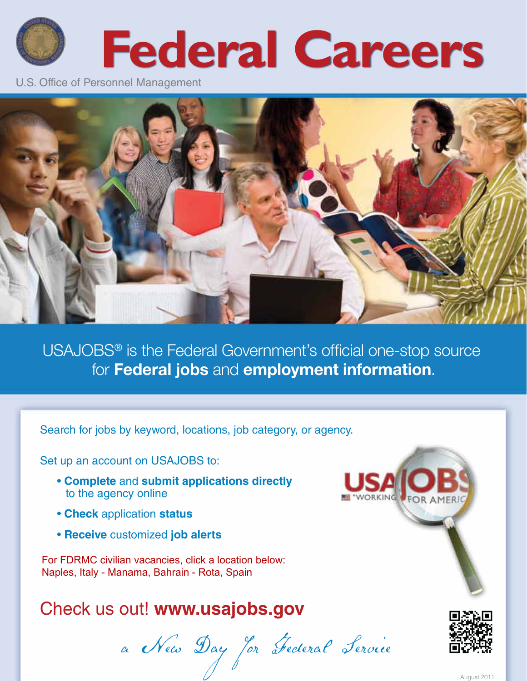# **Federal Careers**

U.S. Office of Personnel Management



USAJOBS® is the Federal Government's official one-stop source for Federal jobs and employment information.

Search for jobs by keyword, locations, job category, or agency.

Set up an account on USAJOBS to:

- **Complete** and **submit applications directly** to the agency online
- **Check** application **status**
- **Receive** customized **job alerts**

For FDRMC civilian vacancies, click a location below: [Naples, Italy](https://www.usajobs.gov/Search/?l=Naples%2C%20Italy&a=NV60&p=1) - [Manama, Bahrain](https://www.usajobs.gov/Search/?l=Bahrain&a=NV60&p=1) - [Rota, Spain](https://www.usajobs.gov/Search/?l=Rota%2C%20Spain&a=NV60&p=1) 

## Check us out! **[www.usajobs.gov](http://www.usajobs.gov)**

a New Day for Federal Service 1874